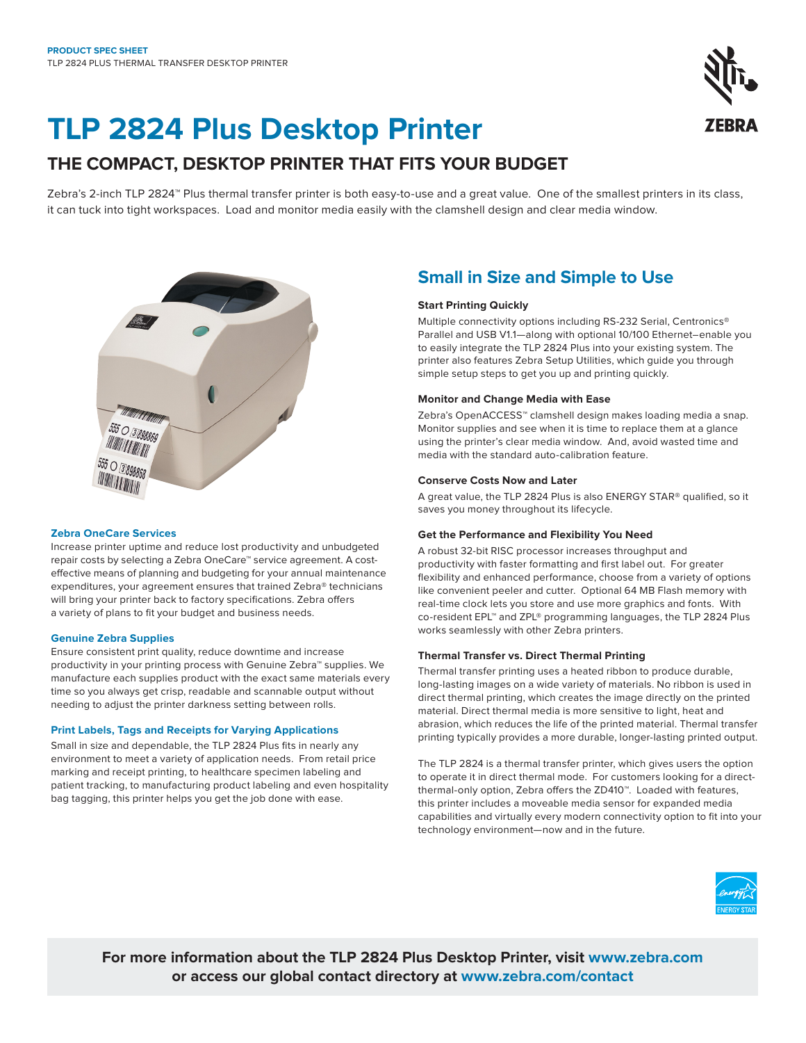# **TLP 2824 Plus Desktop Printer**

### **THE COMPACT, DESKTOP PRINTER THAT FITS YOUR BUDGET**

Zebra's 2-inch TLP 2824™ Plus thermal transfer printer is both easy-to-use and a great value. One of the smallest printers in its class, it can tuck into tight workspaces. Load and monitor media easily with the clamshell design and clear media window.



#### **Zebra OneCare Services**

Increase printer uptime and reduce lost productivity and unbudgeted repair costs by selecting a Zebra OneCare™ service agreement. A costeffective means of planning and budgeting for your annual maintenance expenditures, your agreement ensures that trained Zebra® technicians will bring your printer back to factory specifications. Zebra offers a variety of plans to fit your budget and business needs.

#### **Genuine Zebra Supplies**

Ensure consistent print quality, reduce downtime and increase productivity in your printing process with Genuine Zebra™ supplies. We manufacture each supplies product with the exact same materials every time so you always get crisp, readable and scannable output without needing to adjust the printer darkness setting between rolls.

#### **Print Labels, Tags and Receipts for Varying Applications**

Small in size and dependable, the TLP 2824 Plus fits in nearly any environment to meet a variety of application needs. From retail price marking and receipt printing, to healthcare specimen labeling and patient tracking, to manufacturing product labeling and even hospitality bag tagging, this printer helps you get the job done with ease.

### **Small in Size and Simple to Use**

#### **Start Printing Quickly**

Multiple connectivity options including RS-232 Serial, Centronics® Parallel and USB V1.1—along with optional 10/100 Ethernet–enable you to easily integrate the TLP 2824 Plus into your existing system. The printer also features Zebra Setup Utilities, which guide you through simple setup steps to get you up and printing quickly.

#### **Monitor and Change Media with Ease**

Zebra's OpenACCESS™ clamshell design makes loading media a snap. Monitor supplies and see when it is time to replace them at a glance using the printer's clear media window. And, avoid wasted time and media with the standard auto-calibration feature.

#### **Conserve Costs Now and Later**

A great value, the TLP 2824 Plus is also ENERGY STAR® qualified, so it saves you money throughout its lifecycle.

#### **Get the Performance and Flexibility You Need**

A robust 32-bit RISC processor increases throughput and productivity with faster formatting and first label out. For greater flexibility and enhanced performance, choose from a variety of options like convenient peeler and cutter. Optional 64 MB Flash memory with real-time clock lets you store and use more graphics and fonts. With co-resident EPL™ and ZPL® programming languages, the TLP 2824 Plus works seamlessly with other Zebra printers.

#### **Thermal Transfer vs. Direct Thermal Printing**

Thermal transfer printing uses a heated ribbon to produce durable, long-lasting images on a wide variety of materials. No ribbon is used in direct thermal printing, which creates the image directly on the printed material. Direct thermal media is more sensitive to light, heat and abrasion, which reduces the life of the printed material. Thermal transfer printing typically provides a more durable, longer-lasting printed output.

The TLP 2824 is a thermal transfer printer, which gives users the option to operate it in direct thermal mode. For customers looking for a directthermal-only option, Zebra offers the ZD410™. Loaded with features, this printer includes a moveable media sensor for expanded media capabilities and virtually every modern connectivity option to fit into your technology environment—now and in the future.



**For more information about the TLP 2824 Plus Desktop Printer, visit [www.zebra.com](https://www.zebra.com/us/en/products/printers/desktop/compact-desktop-printers.html) or access our global contact directory at [www.zebra.com/contact](https://www.zebra.com/us/en/about-zebra/contact-us/contact-zebra.html)**

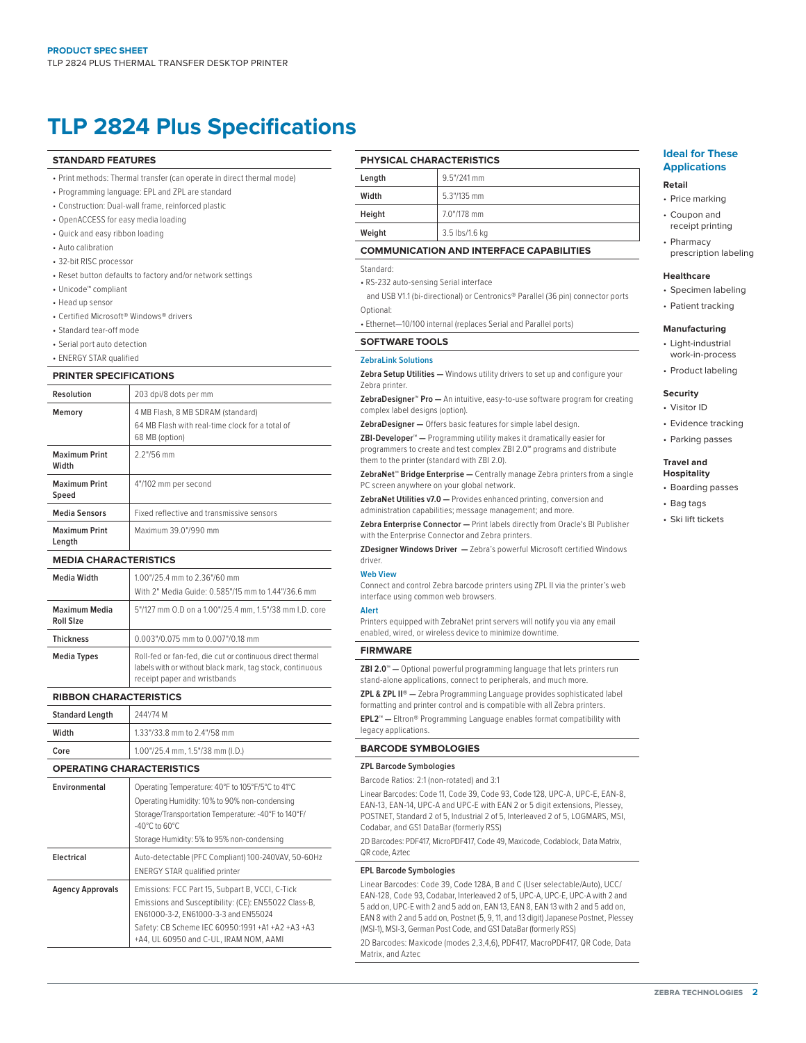## **TLP 2824 Plus Specifications**

#### **STANDARD FEATURES**

- Print methods: Thermal transfer (can operate in direct thermal mode)
- Programming language: EPL and ZPL are standard
- Construction: Dual-wall frame, reinforced plastic
- OpenACCESS for easy media loading
- Quick and easy ribbon loading
- Auto calibration
- 32-bit RISC processor
- Reset button defaults to factory and/or network settings
- Unicode™ compliant
- Head up sensor
- Certified Microsoft® Windows® drivers
- Standard tear-off mode
- Serial port auto detection
- ENERGY STAR qualified

#### **PRINTER SPECIFICATIONS**

| Resolution                     | 203 dpi/8 dots per mm                                                                                  |
|--------------------------------|--------------------------------------------------------------------------------------------------------|
| Memory                         | 4 MB Flash, 8 MB SDRAM (standard)<br>64 MB Flash with real-time clock for a total of<br>68 MB (option) |
| <b>Maximum Print</b><br>Width  | $2.2$ "/56 mm                                                                                          |
| <b>Maximum Print</b><br>Speed  | 4"/102 mm per second                                                                                   |
| <b>Media Sensors</b>           | Fixed reflective and transmissive sensors                                                              |
| <b>Maximum Print</b><br>Length | Maximum 39.0"/990 mm                                                                                   |

#### **MEDIA CHARACTERISTICS**

| <b>Media Width</b>                | 1.00"/25.4 mm to 2.36"/60 mm<br>With 2" Media Guide: 0.585"/15 mm to 1.44"/36.6 mm                                                                    |
|-----------------------------------|-------------------------------------------------------------------------------------------------------------------------------------------------------|
| Maximum Media<br><b>Roll Size</b> | 5"/127 mm 0.D on a 1.00"/25.4 mm, 1.5"/38 mm I.D. core                                                                                                |
| <b>Thickness</b>                  | 0.003"/0.075 mm to 0.007"/0.18 mm                                                                                                                     |
| <b>Media Types</b>                | Roll-fed or fan-fed, die cut or continuous direct thermal<br>labels with or without black mark, tag stock, continuous<br>receipt paper and wristbands |

#### **RIBBON CHARACTERISTICS**

| <b>Standard Length</b> | 244'/74 M                        |
|------------------------|----------------------------------|
| Width                  | 1.33"/33.8 mm to 2.4"/58 mm      |
| Core                   | 1.00"/25.4 mm, 1.5"/38 mm (I.D.) |

#### **OPERATING CHARACTERISTICS**

| Environmental           | Operating Temperature: 40°F to 105°F/5°C to 41°C<br>Operating Humidity: 10% to 90% non-condensing<br>Storage/Transportation Temperature: -40°F to 140°F/<br>$-40^{\circ}$ C to 60 $^{\circ}$ C<br>Storage Humidity: 5% to 95% non-condensing  |
|-------------------------|-----------------------------------------------------------------------------------------------------------------------------------------------------------------------------------------------------------------------------------------------|
| Electrical              | Auto-detectable (PFC Compliant) 100-240VAV, 50-60Hz<br><b>ENERGY STAR qualified printer</b>                                                                                                                                                   |
| <b>Agency Approvals</b> | Emissions: FCC Part 15, Subpart B, VCCI, C-Tick<br>Emissions and Susceptibility: (CE): EN55022 Class-B.<br>EN61000-3-2, EN61000-3-3 and EN55024<br>Safety: CB Scheme IEC 60950:1991 +A1 +A2 +A3 +A3<br>+A4, UL 60950 and C-UL, IRAM NOM, AAMI |

#### **PHYSICAL CHARACTERISTICS**

| Length | $9.5''/241$ mm |
|--------|----------------|
| Width  | 5.3"/135 mm    |
| Height | 7.0"/178 mm    |
| Weight | 3.5 lbs/1.6 kg |
|        |                |

#### **COMMUNICATION AND INTERFACE CAPABILITIES**

#### Standard:

• RS-232 auto-sensing Serial interface

 and USB V1.1 (bi-directional) or Centronics® Parallel (36 pin) connector ports Optional:

• Ethernet—10/100 internal (replaces Serial and Parallel ports)

#### **SOFTWARE TOOLS**

#### **ZebraLink Solutions**

**Zebra Setup Utilities —** Windows utility drivers to set up and configure your Zebra printer.

**ZebraDesigner™ Pro —** An intuitive, easy-to-use software program for creating complex label designs (option).

**ZebraDesigner —** Offers basic features for simple label design.

**ZBI-Developer™ —** Programming utility makes it dramatically easier for programmers to create and test complex ZBI 2.0™ programs and distribute them to the printer (standard with ZBI 2.0).

**ZebraNet™ Bridge Enterprise —** Centrally manage Zebra printers from a single PC screen anywhere on your global network.

**ZebraNet Utilities v7.0 —** Provides enhanced printing, conversion and administration capabilities; message management; and more.

**Zebra Enterprise Connector —** Print labels directly from Oracle's BI Publisher with the Enterprise Connector and Zebra printers.

**ZDesigner Windows Driver —** Zebra's powerful Microsoft certified Windows driver.

#### **Web View**

Connect and control Zebra barcode printers using ZPL II via the printer's web interface using common web browsers.

#### **Alert**

Printers equipped with ZebraNet print servers will notify you via any email enabled, wired, or wireless device to minimize downtime.

#### **FIRMWARE**

**ZBI 2.0™ —** Optional powerful programming language that lets printers run stand-alone applications, connect to peripherals, and much more.

**ZPL & ZPL II® —** Zebra Programming Language provides sophisticated label formatting and printer control and is compatible with all Zebra printers.

**EPL2™ —** Eltron® Programming Language enables format compatibility with legacy applications.

#### **BARCODE SYMBOLOGIES**

#### **ZPL Barcode Symbologies**

Barcode Ratios: 2:1 (non-rotated) and 3:1

Linear Barcodes: Code 11, Code 39, Code 93, Code 128, UPC-A, UPC-E, EAN-8, EAN-13, EAN-14, UPC-A and UPC-E with EAN 2 or 5 digit extensions, Plessey, POSTNET, Standard 2 of 5, Industrial 2 of 5, Interleaved 2 of 5, LOGMARS, MSI, Codabar, and GS1 DataBar (formerly RSS)

2D Barcodes: PDF417, MicroPDF417, Code 49, Maxicode, Codablock, Data Matrix, QR code, Aztec

#### **EPL Barcode Symbologies**

Linear Barcodes: Code 39, Code 128A, B and C (User selectable/Auto), UCC/ EAN-128, Code 93, Codabar, Interleaved 2 of 5, UPC-A, UPC-E, UPC-A with 2 and 5 add on, UPC-E with 2 and 5 add on, EAN 13, EAN 8, EAN 13 with 2 and 5 add on, EAN 8 with 2 and 5 add on, Postnet (5, 9, 11, and 13 digit) Japanese Postnet, Plessey (MSI-1), MSI-3, German Post Code, and GS1 DataBar (formerly RSS)

2D Barcodes: Maxicode (modes 2,3,4,6), PDF417, MacroPDF417, QR Code, Data Matrix, and Aztec

#### **Ideal for These Applications**

#### **Retail**

- Price marking
- Coupon and receipt printing
- Pharmacy prescription labeling

#### **Healthcare**

- Specimen labeling
- Patient tracking

#### **Manufacturing**

- Light-industrial work-in-process
- Product labeling

#### **Security**

- Visitor ID
- Evidence tracking
- Parking passes

#### **Travel and Hospitality**

- Boarding passes
- Bag tags
- Ski lift tickets